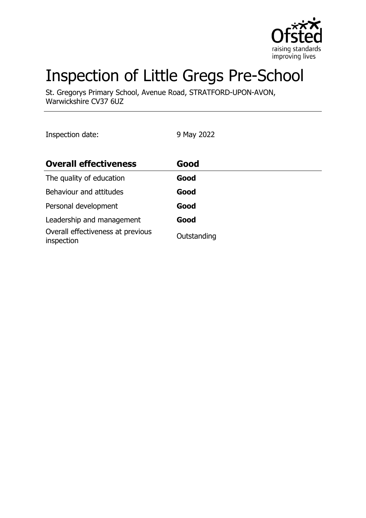

# Inspection of Little Gregs Pre-School

St. Gregorys Primary School, Avenue Road, STRATFORD-UPON-AVON, Warwickshire CV37 6UZ

Inspection date: 9 May 2022

| <b>Overall effectiveness</b>                    | Good        |
|-------------------------------------------------|-------------|
| The quality of education                        | Good        |
| Behaviour and attitudes                         | Good        |
| Personal development                            | Good        |
| Leadership and management                       | Good        |
| Overall effectiveness at previous<br>inspection | Outstanding |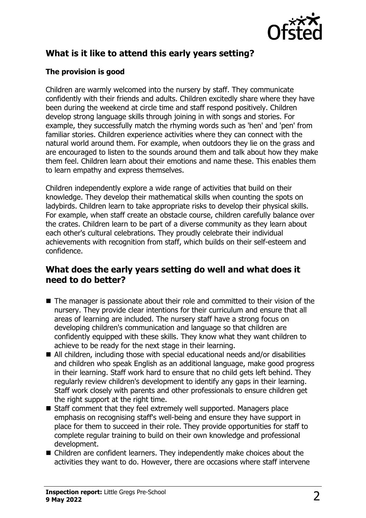

## **What is it like to attend this early years setting?**

#### **The provision is good**

Children are warmly welcomed into the nursery by staff. They communicate confidently with their friends and adults. Children excitedly share where they have been during the weekend at circle time and staff respond positively. Children develop strong language skills through joining in with songs and stories. For example, they successfully match the rhyming words such as 'hen' and 'pen' from familiar stories. Children experience activities where they can connect with the natural world around them. For example, when outdoors they lie on the grass and are encouraged to listen to the sounds around them and talk about how they make them feel. Children learn about their emotions and name these. This enables them to learn empathy and express themselves.

Children independently explore a wide range of activities that build on their knowledge. They develop their mathematical skills when counting the spots on ladybirds. Children learn to take appropriate risks to develop their physical skills. For example, when staff create an obstacle course, children carefully balance over the crates. Children learn to be part of a diverse community as they learn about each other's cultural celebrations. They proudly celebrate their individual achievements with recognition from staff, which builds on their self-esteem and confidence.

#### **What does the early years setting do well and what does it need to do better?**

- $\blacksquare$  The manager is passionate about their role and committed to their vision of the nursery. They provide clear intentions for their curriculum and ensure that all areas of learning are included. The nursery staff have a strong focus on developing children's communication and language so that children are confidently equipped with these skills. They know what they want children to achieve to be ready for the next stage in their learning.
- $\blacksquare$  All children, including those with special educational needs and/or disabilities and children who speak English as an additional language, make good progress in their learning. Staff work hard to ensure that no child gets left behind. They regularly review children's development to identify any gaps in their learning. Staff work closely with parents and other professionals to ensure children get the right support at the right time.
- Staff comment that they feel extremely well supported. Managers place emphasis on recognising staff's well-being and ensure they have support in place for them to succeed in their role. They provide opportunities for staff to complete regular training to build on their own knowledge and professional development.
- $\blacksquare$  Children are confident learners. They independently make choices about the activities they want to do. However, there are occasions where staff intervene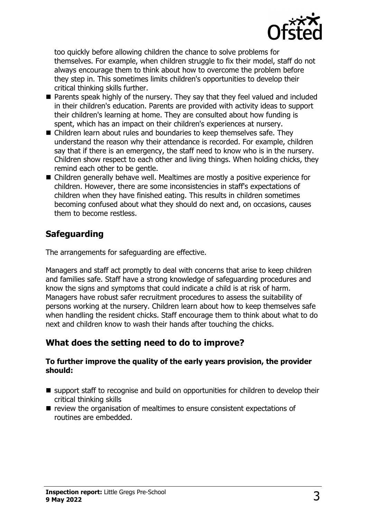

too quickly before allowing children the chance to solve problems for themselves. For example, when children struggle to fix their model, staff do not always encourage them to think about how to overcome the problem before they step in. This sometimes limits children's opportunities to develop their critical thinking skills further.

- Parents speak highly of the nursery. They say that they feel valued and included in their children's education. Parents are provided with activity ideas to support their children's learning at home. They are consulted about how funding is spent, which has an impact on their children's experiences at nursery.
- $\blacksquare$  Children learn about rules and boundaries to keep themselves safe. They understand the reason why their attendance is recorded. For example, children say that if there is an emergency, the staff need to know who is in the nursery. Children show respect to each other and living things. When holding chicks, they remind each other to be gentle.
- $\blacksquare$  Children generally behave well. Mealtimes are mostly a positive experience for children. However, there are some inconsistencies in staff's expectations of children when they have finished eating. This results in children sometimes becoming confused about what they should do next and, on occasions, causes them to become restless.

## **Safeguarding**

The arrangements for safeguarding are effective.

Managers and staff act promptly to deal with concerns that arise to keep children and families safe. Staff have a strong knowledge of safeguarding procedures and know the signs and symptoms that could indicate a child is at risk of harm. Managers have robust safer recruitment procedures to assess the suitability of persons working at the nursery. Children learn about how to keep themselves safe when handling the resident chicks. Staff encourage them to think about what to do next and children know to wash their hands after touching the chicks.

### **What does the setting need to do to improve?**

#### **To further improve the quality of the early years provision, the provider should:**

- support staff to recognise and build on opportunities for children to develop their critical thinking skills
- $\blacksquare$  review the organisation of mealtimes to ensure consistent expectations of routines are embedded.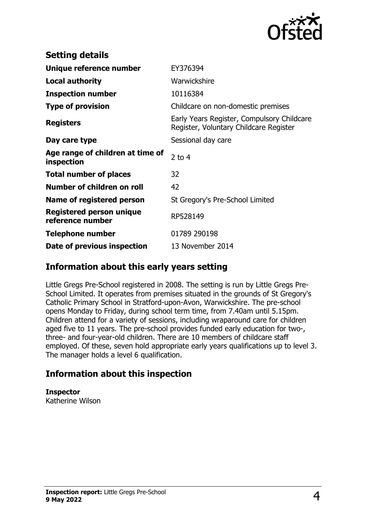

| <b>Setting details</b>                              |                                                                                      |
|-----------------------------------------------------|--------------------------------------------------------------------------------------|
| Unique reference number                             | EY376394                                                                             |
| Local authority                                     | Warwickshire                                                                         |
| <b>Inspection number</b>                            | 10116384                                                                             |
| <b>Type of provision</b>                            | Childcare on non-domestic premises                                                   |
| <b>Registers</b>                                    | Early Years Register, Compulsory Childcare<br>Register, Voluntary Childcare Register |
| Day care type                                       | Sessional day care                                                                   |
| Age range of children at time of<br>inspection      | $2$ to 4                                                                             |
| <b>Total number of places</b>                       | 32                                                                                   |
| Number of children on roll                          | 42                                                                                   |
| Name of registered person                           | St Gregory's Pre-School Limited                                                      |
| <b>Registered person unique</b><br>reference number | RP528149                                                                             |
| <b>Telephone number</b>                             | 01789 290198                                                                         |
| Date of previous inspection                         | 13 November 2014                                                                     |

#### **Information about this early years setting**

Little Gregs Pre-School registered in 2008. The setting is run by Little Gregs Pre-School Limited. It operates from premises situated in the grounds of St Gregory's Catholic Primary School in Stratford-upon-Avon, Warwickshire. The pre-school opens Monday to Friday, during school term time, from 7.40am until 5.15pm. Children attend for a variety of sessions, including wraparound care for children aged five to 11 years. The pre-school provides funded early education for two-, three- and four-year-old children. There are 10 members of childcare staff employed. Of these, seven hold appropriate early years qualifications up to level 3. The manager holds a level 6 qualification.

### **Information about this inspection**

**Inspector**

Katherine Wilson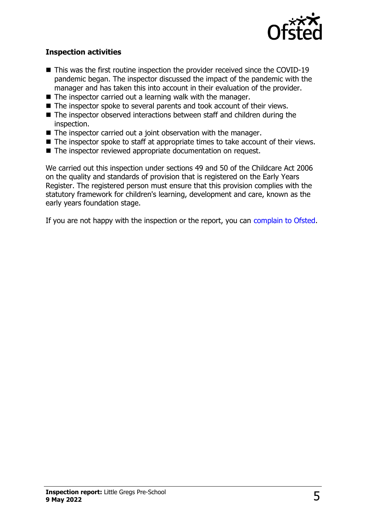

#### **Inspection activities**

- $\blacksquare$  This was the first routine inspection the provider received since the COVID-19 pandemic began. The inspector discussed the impact of the pandemic with the manager and has taken this into account in their evaluation of the provider.
- $\blacksquare$  The inspector carried out a learning walk with the manager.
- $\blacksquare$  The inspector spoke to several parents and took account of their views.
- The inspector observed interactions between staff and children during the inspection.
- $\blacksquare$  The inspector carried out a joint observation with the manager.
- $\blacksquare$  The inspector spoke to staff at appropriate times to take account of their views.
- The inspector reviewed appropriate documentation on request.

We carried out this inspection under sections 49 and 50 of the Childcare Act 2006 on the quality and standards of provision that is registered on the Early Years Register. The registered person must ensure that this provision complies with the statutory framework for children's learning, development and care, known as the early years foundation stage.

If you are not happy with the inspection or the report, you can [complain to Ofsted](http://www.gov.uk/complain-ofsted-report).